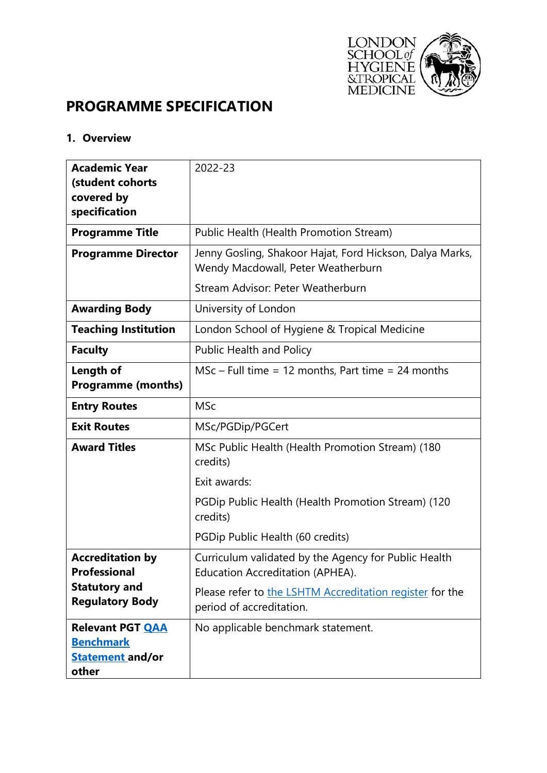

# **PROGRAMME SPECIFICATION**

#### **1. Overview**

| <b>Academic Year</b><br>(student cohorts<br>covered by                          | 2022-23                                                                                        |  |  |
|---------------------------------------------------------------------------------|------------------------------------------------------------------------------------------------|--|--|
| specification                                                                   |                                                                                                |  |  |
| <b>Programme Title</b>                                                          | Public Health (Health Promotion Stream)                                                        |  |  |
| <b>Programme Director</b>                                                       | Jenny Gosling, Shakoor Hajat, Ford Hickson, Dalya Marks,<br>Wendy Macdowall, Peter Weatherburn |  |  |
|                                                                                 | Stream Advisor: Peter Weatherburn                                                              |  |  |
| <b>Awarding Body</b>                                                            | University of London                                                                           |  |  |
| <b>Teaching Institution</b>                                                     | London School of Hygiene & Tropical Medicine                                                   |  |  |
| <b>Faculty</b>                                                                  | <b>Public Health and Policy</b>                                                                |  |  |
| Length of<br><b>Programme (months)</b>                                          | $MSc$ – Full time = 12 months, Part time = 24 months                                           |  |  |
| <b>Entry Routes</b>                                                             | <b>MSc</b>                                                                                     |  |  |
| <b>Exit Routes</b>                                                              | MSc/PGDip/PGCert                                                                               |  |  |
| <b>Award Titles</b>                                                             | MSc Public Health (Health Promotion Stream) (180<br>credits)                                   |  |  |
|                                                                                 | Exit awards:                                                                                   |  |  |
|                                                                                 | PGDip Public Health (Health Promotion Stream) (120<br>credits)                                 |  |  |
|                                                                                 | PGDip Public Health (60 credits)                                                               |  |  |
| <b>Accreditation by</b><br>Professional                                         | Curriculum validated by the Agency for Public Health<br>Education Accreditation (APHEA).       |  |  |
| <b>Statutory and</b><br><b>Regulatory Body</b>                                  | Please refer to the LSHTM Accreditation register for the<br>period of accreditation.           |  |  |
| <b>Relevant PGT QAA</b><br><b>Benchmark</b><br><b>Statement and/or</b><br>other | No applicable benchmark statement.                                                             |  |  |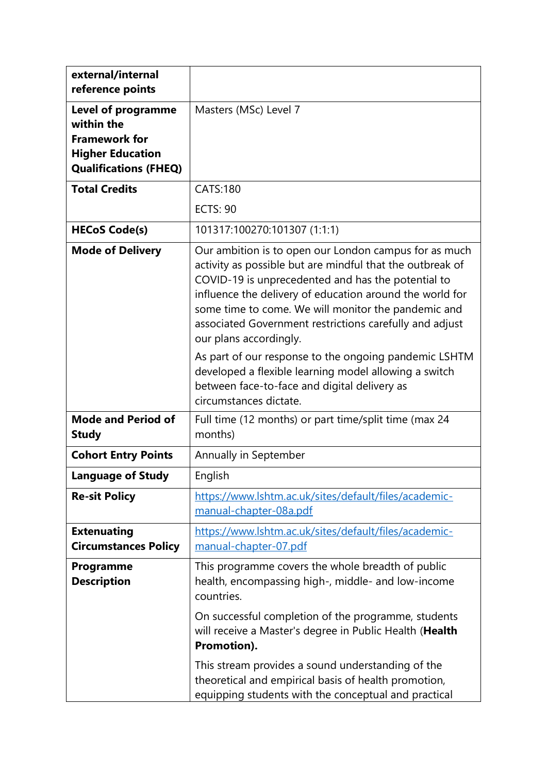| external/internal<br>reference points                                                                                      |                                                                                                                                                                                                                                                                                                                                                                                  |
|----------------------------------------------------------------------------------------------------------------------------|----------------------------------------------------------------------------------------------------------------------------------------------------------------------------------------------------------------------------------------------------------------------------------------------------------------------------------------------------------------------------------|
| <b>Level of programme</b><br>within the<br><b>Framework for</b><br><b>Higher Education</b><br><b>Qualifications (FHEQ)</b> | Masters (MSc) Level 7                                                                                                                                                                                                                                                                                                                                                            |
| <b>Total Credits</b>                                                                                                       | <b>CATS:180</b>                                                                                                                                                                                                                                                                                                                                                                  |
|                                                                                                                            | <b>ECTS: 90</b>                                                                                                                                                                                                                                                                                                                                                                  |
| <b>HECoS Code(s)</b>                                                                                                       | 101317:100270:101307 (1:1:1)                                                                                                                                                                                                                                                                                                                                                     |
| <b>Mode of Delivery</b>                                                                                                    | Our ambition is to open our London campus for as much<br>activity as possible but are mindful that the outbreak of<br>COVID-19 is unprecedented and has the potential to<br>influence the delivery of education around the world for<br>some time to come. We will monitor the pandemic and<br>associated Government restrictions carefully and adjust<br>our plans accordingly. |
|                                                                                                                            | As part of our response to the ongoing pandemic LSHTM<br>developed a flexible learning model allowing a switch<br>between face-to-face and digital delivery as<br>circumstances dictate.                                                                                                                                                                                         |
| <b>Mode and Period of</b><br><b>Study</b>                                                                                  | Full time (12 months) or part time/split time (max 24<br>months)                                                                                                                                                                                                                                                                                                                 |
| <b>Cohort Entry Points</b>                                                                                                 | Annually in September                                                                                                                                                                                                                                                                                                                                                            |
| <b>Language of Study</b>                                                                                                   | English                                                                                                                                                                                                                                                                                                                                                                          |
| <b>Re-sit Policy</b>                                                                                                       | https://www.lshtm.ac.uk/sites/default/files/academic-<br>manual-chapter-08a.pdf                                                                                                                                                                                                                                                                                                  |
| <b>Extenuating</b><br><b>Circumstances Policy</b>                                                                          | https://www.lshtm.ac.uk/sites/default/files/academic-<br>manual-chapter-07.pdf                                                                                                                                                                                                                                                                                                   |
| Programme<br><b>Description</b>                                                                                            | This programme covers the whole breadth of public<br>health, encompassing high-, middle- and low-income<br>countries.<br>On successful completion of the programme, students<br>will receive a Master's degree in Public Health (Health<br>Promotion).<br>This stream provides a sound understanding of the<br>theoretical and empirical basis of health promotion,              |
|                                                                                                                            | equipping students with the conceptual and practical                                                                                                                                                                                                                                                                                                                             |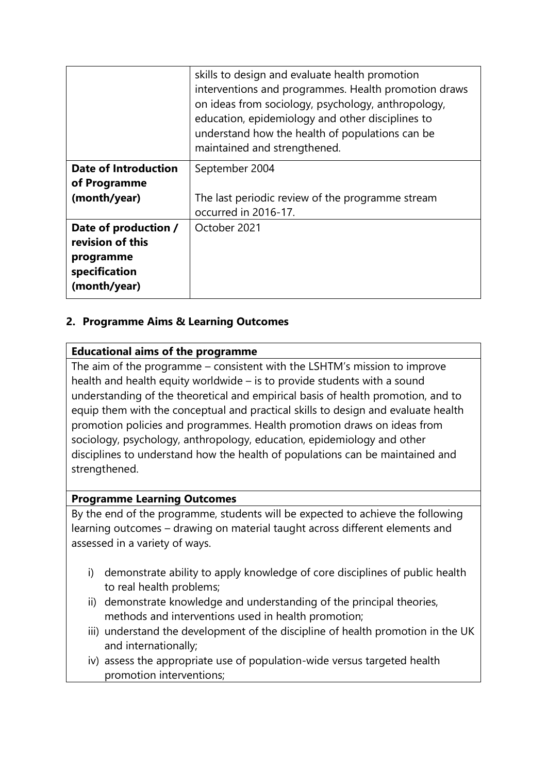|                                                                                        | skills to design and evaluate health promotion<br>interventions and programmes. Health promotion draws<br>on ideas from sociology, psychology, anthropology,<br>education, epidemiology and other disciplines to<br>understand how the health of populations can be<br>maintained and strengthened. |
|----------------------------------------------------------------------------------------|-----------------------------------------------------------------------------------------------------------------------------------------------------------------------------------------------------------------------------------------------------------------------------------------------------|
| <b>Date of Introduction</b><br>of Programme<br>(month/year)                            | September 2004<br>The last periodic review of the programme stream<br>occurred in 2016-17.                                                                                                                                                                                                          |
| Date of production /<br>revision of this<br>programme<br>specification<br>(month/year) | October 2021                                                                                                                                                                                                                                                                                        |

# **2. Programme Aims & Learning Outcomes**

#### **Educational aims of the programme**

The aim of the programme – consistent with the LSHTM's mission to improve health and health equity worldwide – is to provide students with a sound understanding of the theoretical and empirical basis of health promotion, and to equip them with the conceptual and practical skills to design and evaluate health promotion policies and programmes. Health promotion draws on ideas from sociology, psychology, anthropology, education, epidemiology and other disciplines to understand how the health of populations can be maintained and strengthened.

#### **Programme Learning Outcomes**

By the end of the programme, students will be expected to achieve the following learning outcomes – drawing on material taught across different elements and assessed in a variety of ways.

- i) demonstrate ability to apply knowledge of core disciplines of public health to real health problems;
- ii) demonstrate knowledge and understanding of the principal theories, methods and interventions used in health promotion;
- iii) understand the development of the discipline of health promotion in the UK and internationally;
- iv) assess the appropriate use of population-wide versus targeted health promotion interventions;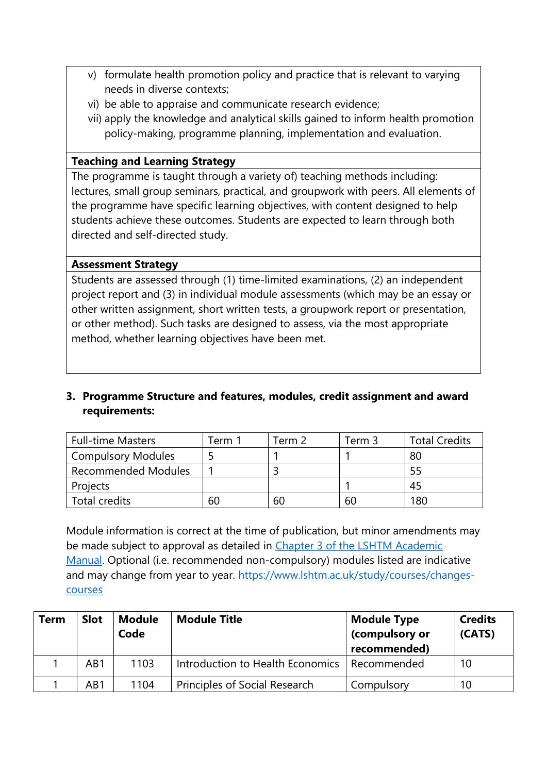- v) formulate health promotion policy and practice that is relevant to varying needs in diverse contexts;
- vi) be able to appraise and communicate research evidence;
- vii) apply the knowledge and analytical skills gained to inform health promotion policy-making, programme planning, implementation and evaluation.

# **Teaching and Learning Strategy**

The programme is taught through a variety of) teaching methods including: lectures, small group seminars, practical, and groupwork with peers. All elements of the programme have specific learning objectives, with content designed to help students achieve these outcomes. Students are expected to learn through both directed and self-directed study.

#### **Assessment Strategy**

Students are assessed through (1) time-limited examinations, (2) an independent project report and (3) in individual module assessments (which may be an essay or other written assignment, short written tests, a groupwork report or presentation, or other method). Such tasks are designed to assess, via the most appropriate method, whether learning objectives have been met.

# **3. Programme Structure and features, modules, credit assignment and award requirements:**

| <b>Full-time Masters</b>   | Term i | Term 2 | Term 3 | <b>Total Credits</b> |
|----------------------------|--------|--------|--------|----------------------|
| <b>Compulsory Modules</b>  |        |        |        | 80                   |
| <b>Recommended Modules</b> |        |        |        | 55                   |
| Projects                   |        |        |        | 45                   |
| Total credits              | 60     | 60     | 60     | 180                  |

Module information is correct at the time of publication, but minor amendments may be made subject to approval as detailed in [Chapter 3 of the LSHTM Academic](https://www.lshtm.ac.uk/sites/default/files/academic-manual-chapter-03.pdf)  [Manual.](https://www.lshtm.ac.uk/sites/default/files/academic-manual-chapter-03.pdf) Optional (i.e. recommended non-compulsory) modules listed are indicative and may change from year to year. [https://www.lshtm.ac.uk/study/courses/changes](https://www.lshtm.ac.uk/study/courses/changes-courses)[courses](https://www.lshtm.ac.uk/study/courses/changes-courses)

| <b>Term</b> | <b>Slot</b> | <b>Module</b><br>Code | <b>Module Title</b>                  | <b>Module Type</b><br>(compulsory or<br>recommended) | <b>Credits</b><br>(CATS) |
|-------------|-------------|-----------------------|--------------------------------------|------------------------------------------------------|--------------------------|
|             | AB1         | 1103                  | Introduction to Health Economics     | l Recommended                                        | 10                       |
|             | AB1         | 1104                  | <b>Principles of Social Research</b> | Compulsory                                           | 10                       |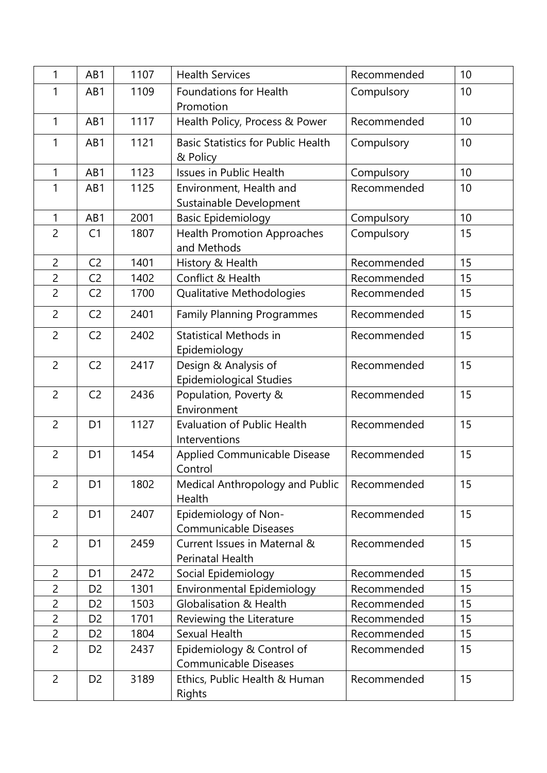| 1              | AB1            | 1107 | <b>Health Services</b><br>Recommended         |             | 10 |
|----------------|----------------|------|-----------------------------------------------|-------------|----|
| 1              | AB1            | 1109 | Foundations for Health                        | Compulsory  | 10 |
|                |                |      | Promotion                                     |             |    |
| $\mathbf{1}$   | AB1            | 1117 | Health Policy, Process & Power<br>Recommended |             | 10 |
| 1              | AB1            | 1121 | <b>Basic Statistics for Public Health</b>     | Compulsory  | 10 |
|                |                |      | & Policy                                      |             |    |
| $\mathbf{1}$   | AB1            | 1123 | <b>Issues in Public Health</b>                | Compulsory  | 10 |
| 1              | AB1            | 1125 | Environment, Health and                       | Recommended | 10 |
|                |                |      | Sustainable Development                       |             |    |
| $\mathbf{1}$   | AB1            | 2001 | <b>Basic Epidemiology</b>                     | Compulsory  | 10 |
| $\overline{2}$ | C <sub>1</sub> | 1807 | <b>Health Promotion Approaches</b>            | Compulsory  | 15 |
|                |                |      | and Methods                                   |             |    |
| $\overline{2}$ | C <sub>2</sub> | 1401 | History & Health                              | Recommended | 15 |
| $\overline{2}$ | C <sub>2</sub> | 1402 | Conflict & Health                             | Recommended | 15 |
| $\overline{2}$ | C <sub>2</sub> | 1700 | Qualitative Methodologies                     | Recommended | 15 |
| $\overline{2}$ | C <sub>2</sub> | 2401 | <b>Family Planning Programmes</b>             | Recommended | 15 |
| $\overline{2}$ | C <sub>2</sub> | 2402 | <b>Statistical Methods in</b>                 | Recommended | 15 |
|                |                |      | Epidemiology                                  |             |    |
| $\overline{2}$ | C <sub>2</sub> | 2417 | Design & Analysis of                          | Recommended | 15 |
|                |                |      | <b>Epidemiological Studies</b>                |             |    |
| $\overline{2}$ | C <sub>2</sub> | 2436 | Population, Poverty &                         | Recommended | 15 |
|                |                |      | Environment                                   |             |    |
| $\overline{2}$ | D <sub>1</sub> | 1127 | <b>Evaluation of Public Health</b>            | Recommended | 15 |
|                |                |      | Interventions                                 |             |    |
| $\overline{2}$ | D <sub>1</sub> | 1454 | <b>Applied Communicable Disease</b>           | Recommended | 15 |
|                |                |      | Control                                       |             |    |
| $\overline{2}$ | D <sub>1</sub> | 1802 | Medical Anthropology and Public               | Recommended | 15 |
|                |                |      | Health                                        |             |    |
| $\overline{2}$ | D <sub>1</sub> | 2407 | Epidemiology of Non-                          | Recommended | 15 |
|                |                |      | <b>Communicable Diseases</b>                  |             |    |
| $\overline{2}$ | D <sub>1</sub> | 2459 | Current Issues in Maternal &                  | Recommended | 15 |
|                |                |      | Perinatal Health                              |             |    |
| $\overline{2}$ | D <sub>1</sub> | 2472 | Social Epidemiology                           | Recommended | 15 |
| $\overline{2}$ | D <sub>2</sub> | 1301 | Environmental Epidemiology                    | Recommended | 15 |
| $\overline{2}$ | D <sub>2</sub> | 1503 | <b>Globalisation &amp; Health</b>             | Recommended | 15 |
| $\overline{2}$ | D <sub>2</sub> | 1701 | Reviewing the Literature                      | Recommended | 15 |
| $\overline{c}$ | D <sub>2</sub> | 1804 | Sexual Health                                 | Recommended | 15 |
| $\overline{2}$ | D <sub>2</sub> | 2437 | Epidemiology & Control of                     | Recommended | 15 |
|                |                |      | Communicable Diseases                         |             |    |
| $\overline{2}$ | D <sub>2</sub> | 3189 | Ethics, Public Health & Human<br>Rights       | Recommended | 15 |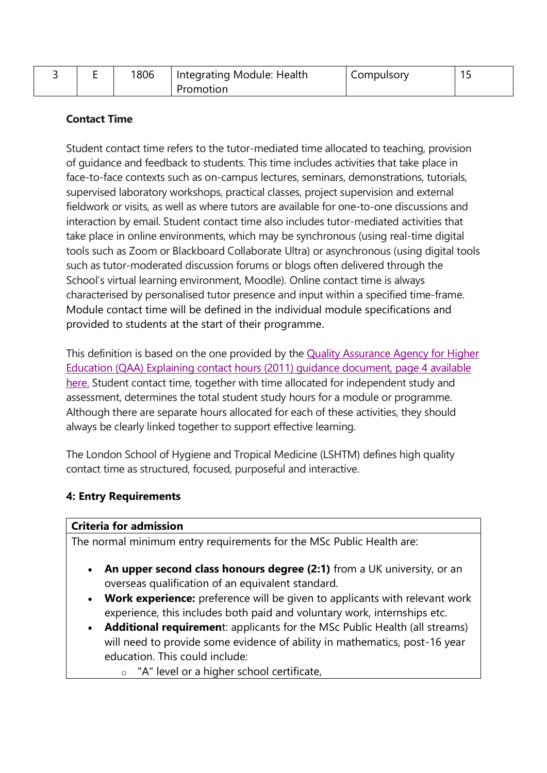|  | 1806 | Integrating Module: Health | Compulsory |  |
|--|------|----------------------------|------------|--|
|  |      | Promotion                  |            |  |

# **Contact Time**

Student contact time refers to the tutor-mediated time allocated to teaching, provision of guidance and feedback to students. This time includes activities that take place in face-to-face contexts such as on-campus lectures, seminars, demonstrations, tutorials, supervised laboratory workshops, practical classes, project supervision and external fieldwork or visits, as well as where tutors are available for one-to-one discussions and interaction by email. Student contact time also includes tutor-mediated activities that take place in online environments, which may be synchronous (using real-time digital tools such as Zoom or Blackboard Collaborate Ultra) or asynchronous (using digital tools such as tutor-moderated discussion forums or blogs often delivered through the School's virtual learning environment, Moodle). Online contact time is always characterised by personalised tutor presence and input within a specified time-frame. Module contact time will be defined in the individual module specifications and provided to students at the start of their programme.

This definition is based on the one provided by the Quality [Assurance](https://www.qaa.ac.uk/docs/qaa/quality-code/contact-hours-guidance.pdf) Agency for Higher Education (QAA) Explaining contact hours (2011) guidance [document,](https://www.qaa.ac.uk/docs/qaa/quality-code/contact-hours-guidance.pdf) page 4 available [here.](https://www.qaa.ac.uk/docs/qaa/quality-code/contact-hours-guidance.pdf) Student contact time, together with time allocated for independent study and assessment, determines the total student study hours for a module or programme. Although there are separate hours allocated for each of these activities, they should always be clearly linked together to support effective learning.

The London School of Hygiene and Tropical Medicine (LSHTM) defines high quality contact time as structured, focused, purposeful and interactive.

#### **4: Entry Requirements**

#### **Criteria for admission**

The normal minimum entry requirements for the MSc Public Health are:

- **An upper second class honours degree (2:1)** from a UK university, or an overseas qualification of an equivalent standard.
- **Work experience:** preference will be given to applicants with relevant work experience, this includes both paid and voluntary work, internships etc.
- **Additional requiremen**t: applicants for the MSc Public Health (all streams) will need to provide some evidence of ability in mathematics, post-16 year education. This could include:
	- o "A" level or a higher school certificate,